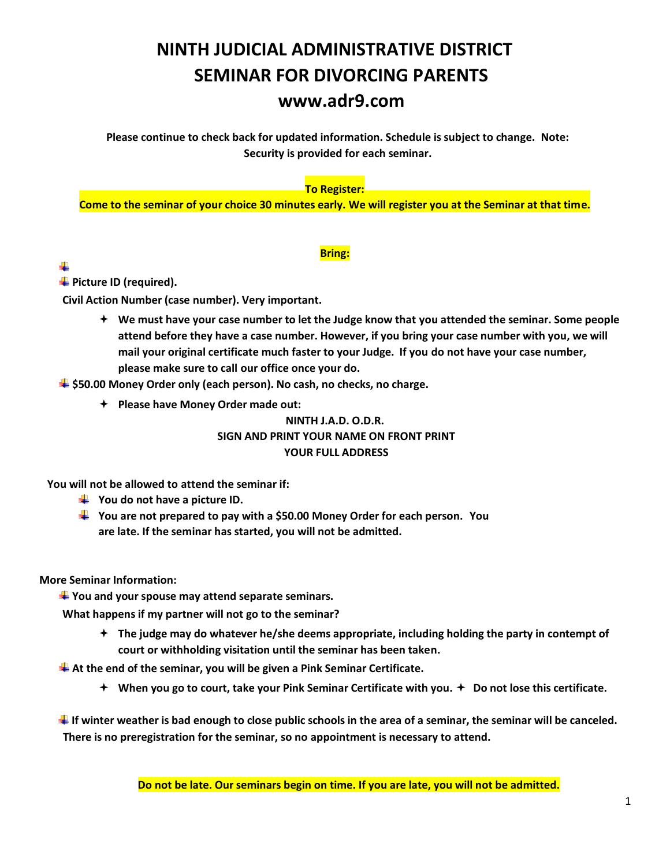# **NINTH JUDICIAL ADMINISTRATIVE DISTRICT SEMINAR FOR DIVORCING PARENTS www.adr9.com**

**Please continue to check back for updated information. Schedule is subject to change. Note: Security is provided for each seminar.** 

#### **To Register:**

**Come to the seminar of your choice 30 minutes early. We will register you at the Seminar at that time.** 

#### **Bring:**

#### ÷

**Fallengie Picture ID (required).** 

**Civil Action Number (case number). Very important.** 

 **We must have your case number to let the Judge know that you attended the seminar. Some people attend before they have a case number. However, if you bring your case number with you, we will mail your original certificate much faster to your Judge. If you do not have your case number, please make sure to call our office once your do.** 

**\$50.00 Money Order only (each person). No cash, no checks, no charge.** 

**Please have Money Order made out:** 

#### **NINTH J.A.D. O.D.R. SIGN AND PRINT YOUR NAME ON FRONT PRINT YOUR FULL ADDRESS**

**You will not be allowed to attend the seminar if:** 

- $\frac{1}{2}$  You do not have a picture ID.
- **You are not prepared to pay with a \$50.00 Money Order for each person. You are late. If the seminar has started, you will not be admitted.**

**More Seminar Information:** 

**You and your spouse may attend separate seminars.** 

**What happens if my partner will not go to the seminar?** 

 **The judge may do whatever he/she deems appropriate, including holding the party in contempt of court or withholding visitation until the seminar has been taken.** 

**At the end of the seminar, you will be given a Pink Seminar Certificate.** 

 $\div$  When you go to court, take your Pink Seminar Certificate with you.  $\div$  Do not lose this certificate.

**If winter weather is bad enough to close public schools in the area of a seminar, the seminar will be canceled. There is no preregistration for the seminar, so no appointment is necessary to attend.**

**Do not be late. Our seminars begin on time. If you are late, you will not be admitted.**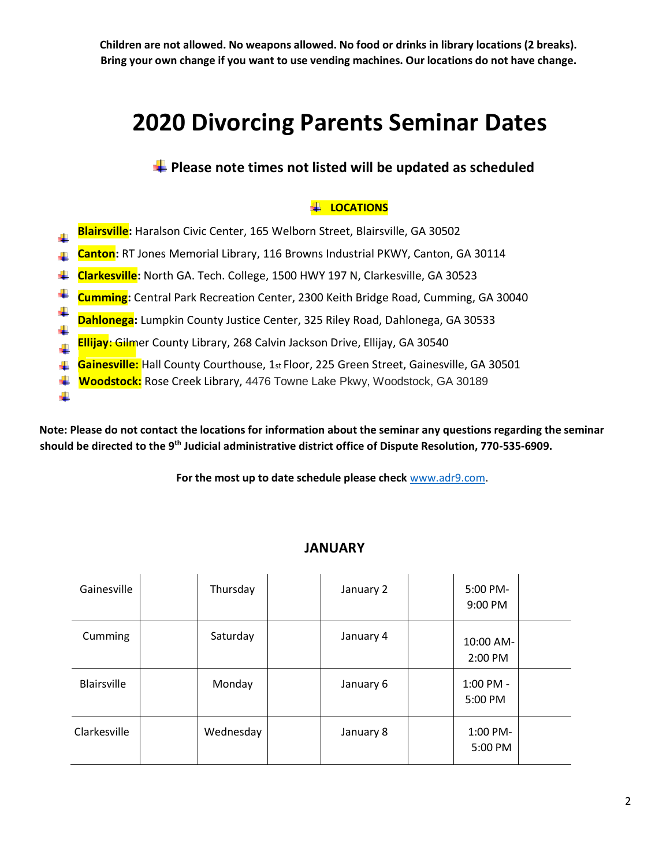**Children are not allowed. No weapons allowed. No food or drinks in library locations (2 breaks). Bring your own change if you want to use vending machines. Our locations do not have change.** 

# **2020 Divorcing Parents Seminar Dates**

**Please note times not listed will be updated as scheduled** 

### **LOCATIONS**

- **Blairsville:** Haralson Civic Center, 165 Welborn Street, Blairsville, GA 30502
- **Canton:** RT Jones Memorial Library, 116 Browns Industrial PKWY, Canton, GA 30114
- **Clarkesville:** North GA. Tech. College, 1500 HWY 197 N, Clarkesville, GA 30523
- **Cumming:** Central Park Recreation Center, 2300 Keith Bridge Road, Cumming, GA 30040
- **Dahlonega**: Lumpkin County Justice Center, 325 Riley Road, Dahlonega, GA 30533
- **Ellijay:** Gilmer County Library, 268 Calvin Jackson Drive, Ellijay, GA 30540

÷

- **Gainesville:** Hall County Courthouse, 1st Floor, 225 Green Street, Gainesville, GA 30501
- ₩. **Woodstock:** Rose Creek Library, 4476 Towne Lake Pkwy, Woodstock, GA 30189

**Note: Please do not contact the locations for information about the seminar any questions regarding the seminar should be directed to the 9th Judicial administrative district office of Dispute Resolution, 770-535-6909.** 

**For the most up to date schedule please check** [www.adr9.com.](http://www.adr9.com/)

#### **JANUARY**

| Gainesville        | Thursday  | January 2 | 5:00 PM-<br>9:00 PM  |  |
|--------------------|-----------|-----------|----------------------|--|
| Cumming            | Saturday  | January 4 | 10:00 AM-<br>2:00 PM |  |
| <b>Blairsville</b> | Monday    | January 6 | 1:00 PM -<br>5:00 PM |  |
| Clarkesville       | Wednesday | January 8 | 1:00 PM-<br>5:00 PM  |  |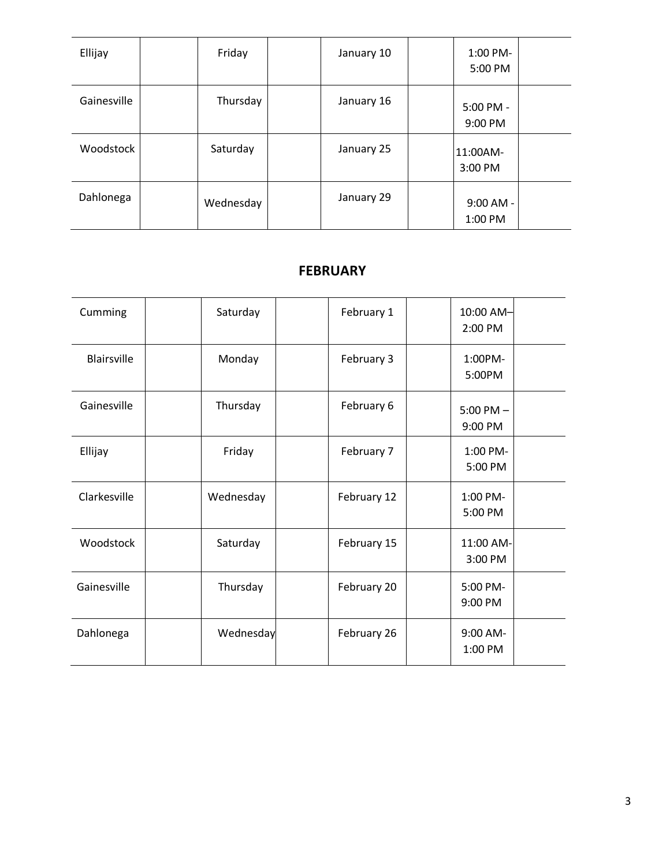| Ellijay     | Friday    | January 10 | 1:00 PM-<br>5:00 PM    |  |
|-------------|-----------|------------|------------------------|--|
| Gainesville | Thursday  | January 16 | 5:00 PM -<br>9:00 PM   |  |
| Woodstock   | Saturday  | January 25 | 11:00AM-<br>3:00 PM    |  |
| Dahlonega   | Wednesday | January 29 | $9:00$ AM -<br>1:00 PM |  |

## **FEBRUARY**

| Cumming            | Saturday  | February 1  | 10:00 AM-<br>2:00 PM     |
|--------------------|-----------|-------------|--------------------------|
| <b>Blairsville</b> | Monday    | February 3  | 1:00PM-<br>5:00PM        |
| Gainesville        | Thursday  | February 6  | $5:00$ PM $-$<br>9:00 PM |
| Ellijay            | Friday    | February 7  | 1:00 PM-<br>5:00 PM      |
| Clarkesville       | Wednesday | February 12 | 1:00 PM-<br>5:00 PM      |
| Woodstock          | Saturday  | February 15 | 11:00 AM-<br>3:00 PM     |
| Gainesville        | Thursday  | February 20 | 5:00 PM-<br>9:00 PM      |
| Dahlonega          | Wednesday | February 26 | 9:00 AM-<br>1:00 PM      |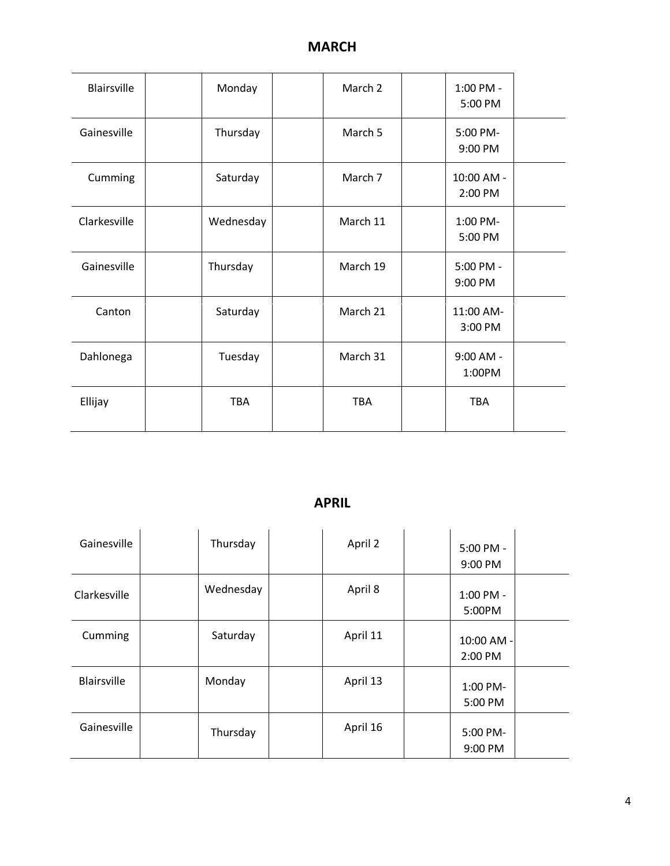| <b>Blairsville</b> | Monday    | March 2    | 1:00 PM -<br>5:00 PM  |  |
|--------------------|-----------|------------|-----------------------|--|
| Gainesville        | Thursday  | March 5    | 5:00 PM-<br>9:00 PM   |  |
| Cumming            | Saturday  | March 7    | 10:00 AM -<br>2:00 PM |  |
| Clarkesville       | Wednesday | March 11   | 1:00 PM-<br>5:00 PM   |  |
| Gainesville        | Thursday  | March 19   | 5:00 PM -<br>9:00 PM  |  |
| Canton             | Saturday  | March 21   | 11:00 AM-<br>3:00 PM  |  |
| Dahlonega          | Tuesday   | March 31   | $9:00$ AM -<br>1:00PM |  |
| Ellijay            | TBA       | <b>TBA</b> | <b>TBA</b>            |  |

## **APRIL**

| Gainesville        | Thursday  | April 2  | $5:00$ PM -<br>9:00 PM |
|--------------------|-----------|----------|------------------------|
| Clarkesville       | Wednesday | April 8  | 1:00 PM -<br>5:00PM    |
| Cumming            | Saturday  | April 11 | 10:00 AM -<br>2:00 PM  |
| <b>Blairsville</b> | Monday    | April 13 | 1:00 PM-<br>5:00 PM    |
| Gainesville        | Thursday  | April 16 | 5:00 PM-<br>9:00 PM    |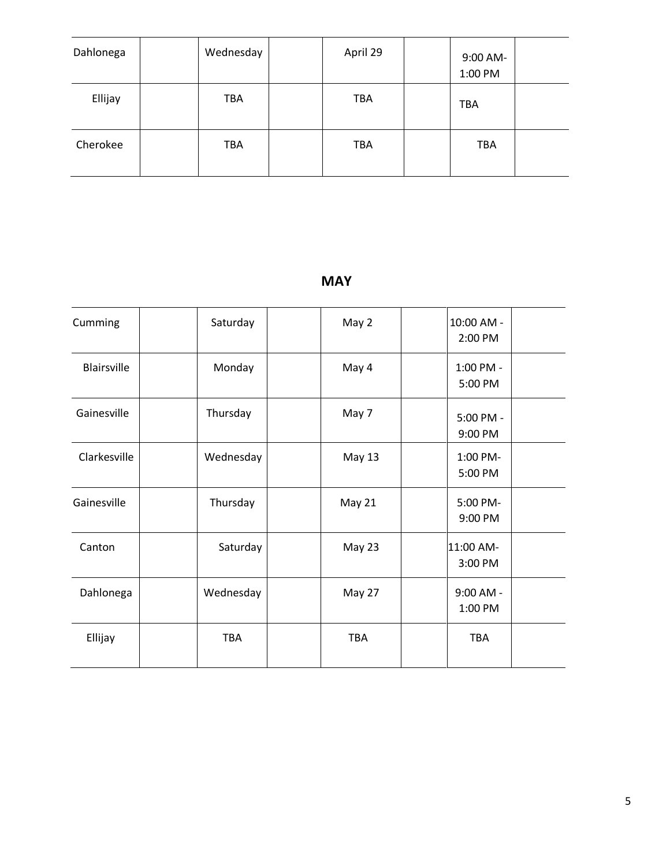| Dahlonega | Wednesday  | April 29   | 9:00 AM-<br>1:00 PM |  |
|-----------|------------|------------|---------------------|--|
| Ellijay   | <b>TBA</b> | <b>TBA</b> | <b>TBA</b>          |  |
| Cherokee  | <b>TBA</b> | <b>TBA</b> | <b>TBA</b>          |  |

## **MAY**

| Cumming      | Saturday  | May 2         | 10:00 AM -<br>2:00 PM |  |
|--------------|-----------|---------------|-----------------------|--|
| Blairsville  | Monday    | May 4         | 1:00 PM -<br>5:00 PM  |  |
| Gainesville  | Thursday  | May 7         | 5:00 PM -<br>9:00 PM  |  |
| Clarkesville | Wednesday | May 13        | 1:00 PM-<br>5:00 PM   |  |
| Gainesville  | Thursday  | <b>May 21</b> | 5:00 PM-<br>9:00 PM   |  |
| Canton       | Saturday  | May 23        | 11:00 AM-<br>3:00 PM  |  |
| Dahlonega    | Wednesday | May 27        | 9:00 AM -<br>1:00 PM  |  |
| Ellijay      | TBA       | TBA           | TBA                   |  |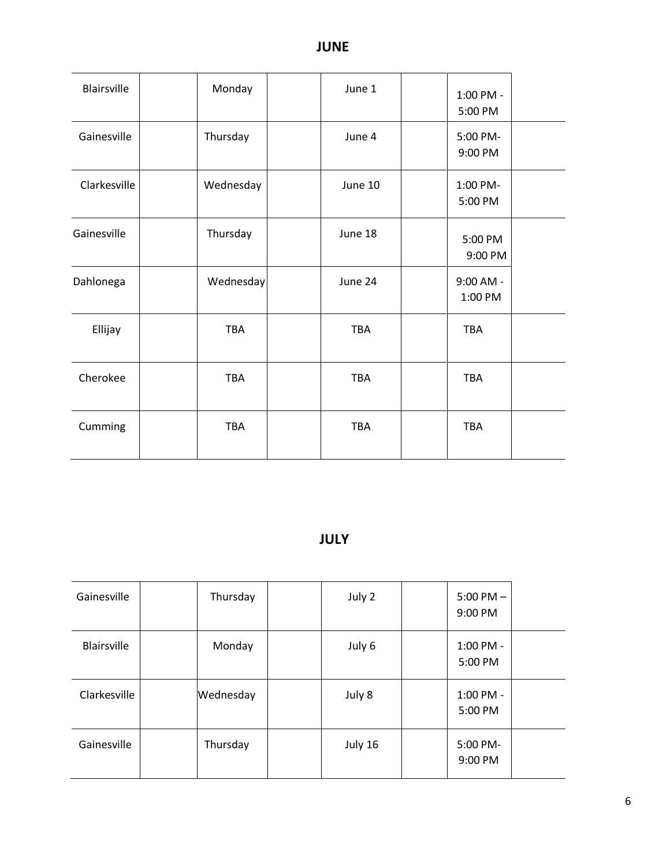| Blairsville  | Monday     | June 1     | 1:00 PM -<br>5:00 PM |  |
|--------------|------------|------------|----------------------|--|
| Gainesville  | Thursday   | June 4     | 5:00 PM-<br>9:00 PM  |  |
| Clarkesville | Wednesday  | June 10    | 1:00 PM-<br>5:00 PM  |  |
| Gainesville  | Thursday   | June 18    | 5:00 PM<br>9:00 PM   |  |
| Dahlonega    | Wednesday  | June 24    | 9:00 AM -<br>1:00 PM |  |
| Ellijay      | TBA        | TBA        | <b>TBA</b>           |  |
| Cherokee     | <b>TBA</b> | <b>TBA</b> | <b>TBA</b>           |  |
| Cumming      | <b>TBA</b> | TBA        | <b>TBA</b>           |  |

# **JULY**

| Gainesville  | Thursday  | July 2  | $5:00$ PM $-$<br>9:00 PM |  |
|--------------|-----------|---------|--------------------------|--|
| Blairsville  | Monday    | July 6  | 1:00 PM -<br>5:00 PM     |  |
| Clarkesville | Wednesday | July 8  | 1:00 PM -<br>5:00 PM     |  |
| Gainesville  | Thursday  | July 16 | 5:00 PM-<br>9:00 PM      |  |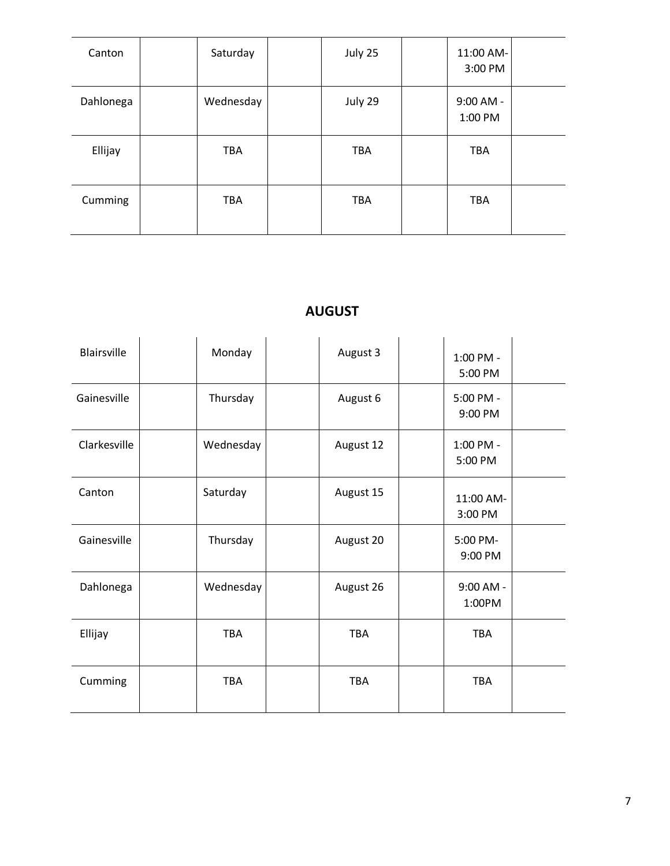| Canton    | Saturday   | July 25    | 11:00 AM-<br>3:00 PM   |  |
|-----------|------------|------------|------------------------|--|
| Dahlonega | Wednesday  | July 29    | $9:00$ AM -<br>1:00 PM |  |
| Ellijay   | <b>TBA</b> | <b>TBA</b> | <b>TBA</b>             |  |
| Cumming   | <b>TBA</b> | <b>TBA</b> | <b>TBA</b>             |  |

## **AUGUST**

| Blairsville  | Monday    | August 3   | 1:00 PM -<br>5:00 PM |  |
|--------------|-----------|------------|----------------------|--|
| Gainesville  | Thursday  | August 6   | 5:00 PM -<br>9:00 PM |  |
| Clarkesville | Wednesday | August 12  | 1:00 PM -<br>5:00 PM |  |
| Canton       | Saturday  | August 15  | 11:00 AM-<br>3:00 PM |  |
| Gainesville  | Thursday  | August 20  | 5:00 PM-<br>9:00 PM  |  |
| Dahlonega    | Wednesday | August 26  | 9:00 AM -<br>1:00PM  |  |
| Ellijay      | TBA       | TBA        | <b>TBA</b>           |  |
| Cumming      | TBA       | <b>TBA</b> | <b>TBA</b>           |  |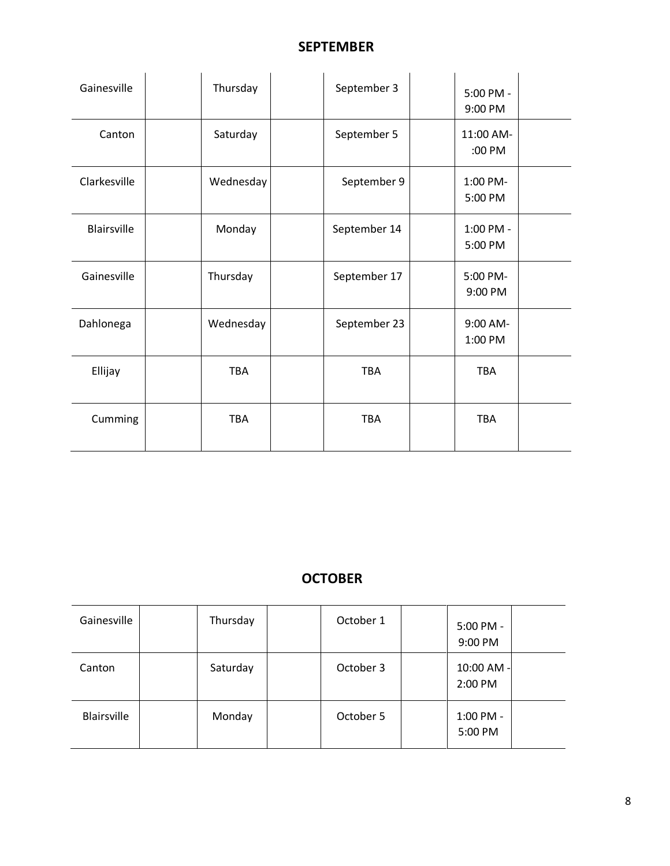## **SEPTEMBER**

| Gainesville        | Thursday   | September 3  | 5:00 PM -<br>9:00 PM |  |
|--------------------|------------|--------------|----------------------|--|
| Canton             | Saturday   | September 5  | 11:00 AM-<br>:00 PM  |  |
| Clarkesville       | Wednesday  | September 9  | 1:00 PM-<br>5:00 PM  |  |
| <b>Blairsville</b> | Monday     | September 14 | 1:00 PM -<br>5:00 PM |  |
| Gainesville        | Thursday   | September 17 | 5:00 PM-<br>9:00 PM  |  |
| Dahlonega          | Wednesday  | September 23 | 9:00 AM-<br>1:00 PM  |  |
| Ellijay            | <b>TBA</b> | <b>TBA</b>   | <b>TBA</b>           |  |
| Cumming            | <b>TBA</b> | <b>TBA</b>   | <b>TBA</b>           |  |

## **OCTOBER**

| Gainesville | Thursday | October 1 | 5:00 PM -<br>9:00 PM  |  |
|-------------|----------|-----------|-----------------------|--|
| Canton      | Saturday | October 3 | 10:00 AM -<br>2:00 PM |  |
| Blairsville | Monday   | October 5 | 1:00 PM -<br>5:00 PM  |  |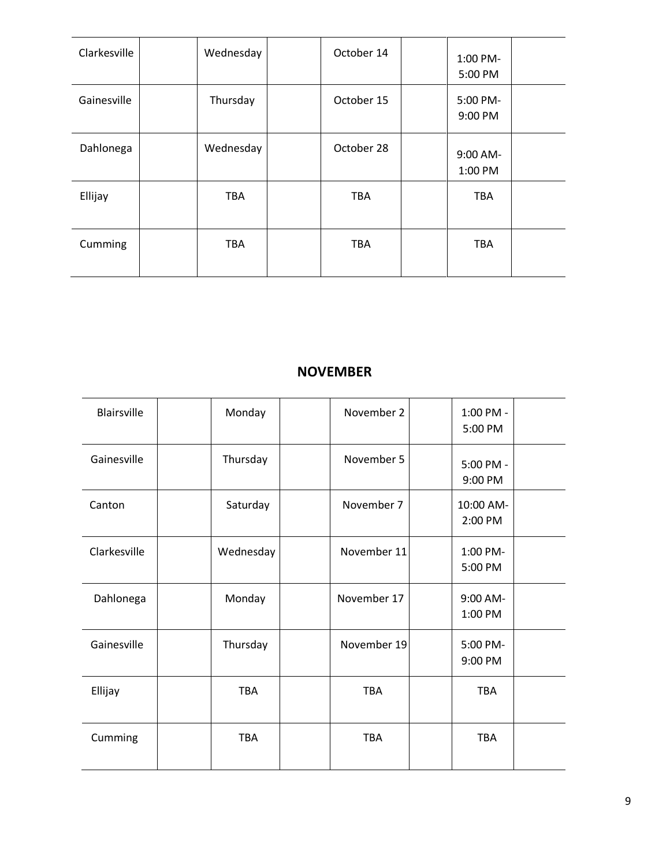| Clarkesville | Wednesday  | October 14 | 1:00 PM-<br>5:00 PM |  |
|--------------|------------|------------|---------------------|--|
| Gainesville  | Thursday   | October 15 | 5:00 PM-<br>9:00 PM |  |
| Dahlonega    | Wednesday  | October 28 | 9:00 AM-<br>1:00 PM |  |
| Ellijay      | <b>TBA</b> | <b>TBA</b> | <b>TBA</b>          |  |
| Cumming      | <b>TBA</b> | <b>TBA</b> | <b>TBA</b>          |  |

## **NOVEMBER**

| <b>Blairsville</b> | Monday     | November 2  | 1:00 PM -<br>5:00 PM |  |
|--------------------|------------|-------------|----------------------|--|
| Gainesville        | Thursday   | November 5  | 5:00 PM -<br>9:00 PM |  |
| Canton             | Saturday   | November 7  | 10:00 AM-<br>2:00 PM |  |
| Clarkesville       | Wednesday  | November 11 | 1:00 PM-<br>5:00 PM  |  |
| Dahlonega          | Monday     | November 17 | 9:00 AM-<br>1:00 PM  |  |
| Gainesville        | Thursday   | November 19 | 5:00 PM-<br>9:00 PM  |  |
| Ellijay            | <b>TBA</b> | <b>TBA</b>  | <b>TBA</b>           |  |
| Cumming            | <b>TBA</b> | <b>TBA</b>  | <b>TBA</b>           |  |